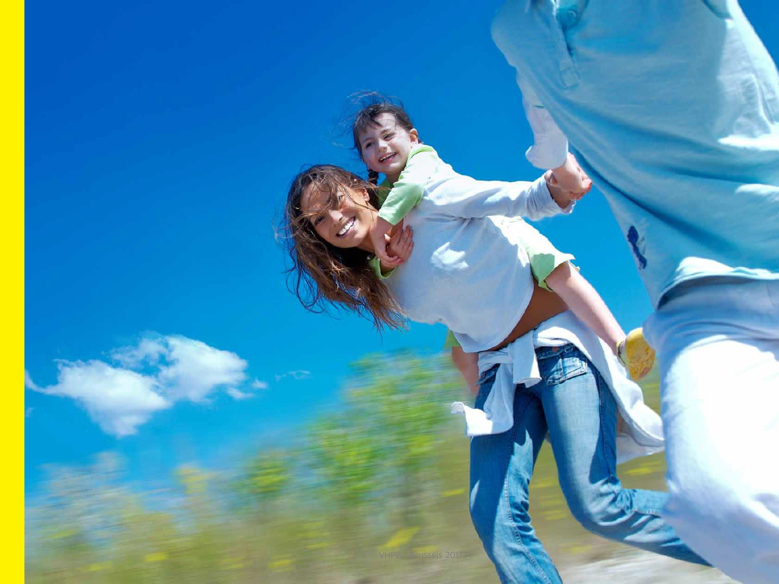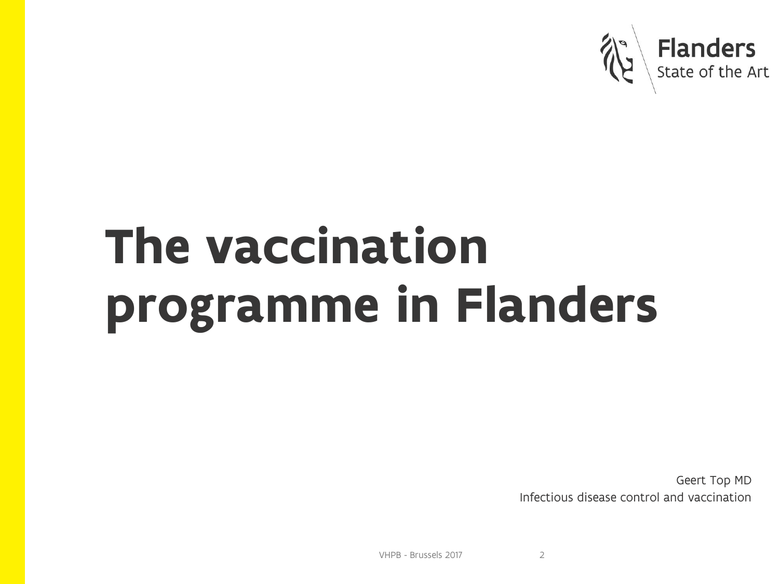

# **The vaccination programme in Flanders**

Geert Top MD Infectious disease control and vaccination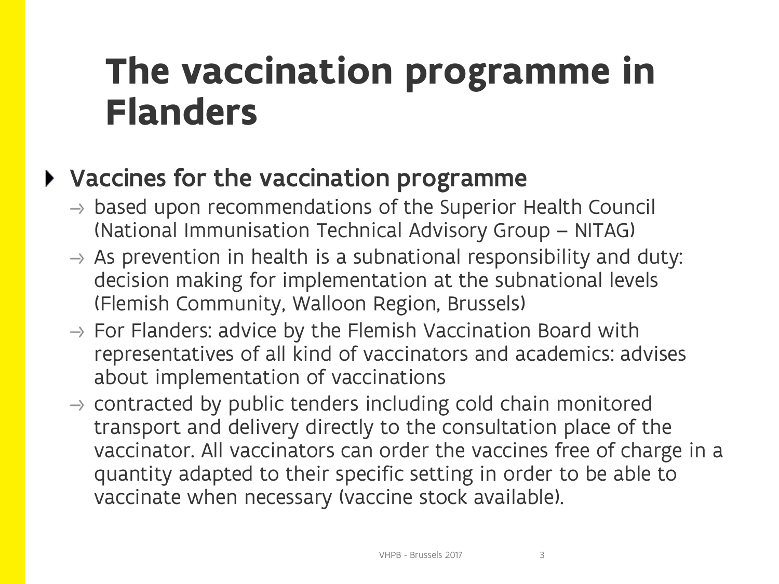### **The vaccination programme in Flanders**

### Vaccines for the vaccination programme

- $\rightarrow$  based upon recommendations of the Superior Health Council (National Immunisation Technical Advisory Group – NITAG)
- $\rightarrow$  As prevention in health is a subnational responsibility and duty: decision making for implementation at the subnational levels (Flemish Community, Walloon Region, Brussels)
- $\rightarrow$  For Flanders: advice by the Flemish Vaccination Board with representatives of all kind of vaccinators and academics: advises about implementation of vaccinations
- $\rightarrow$  contracted by public tenders including cold chain monitored transport and delivery directly to the consultation place of the vaccinator. All vaccinators can order the vaccines free of charge in a quantity adapted to their specific setting in order to be able to vaccinate when necessary (vaccine stock available).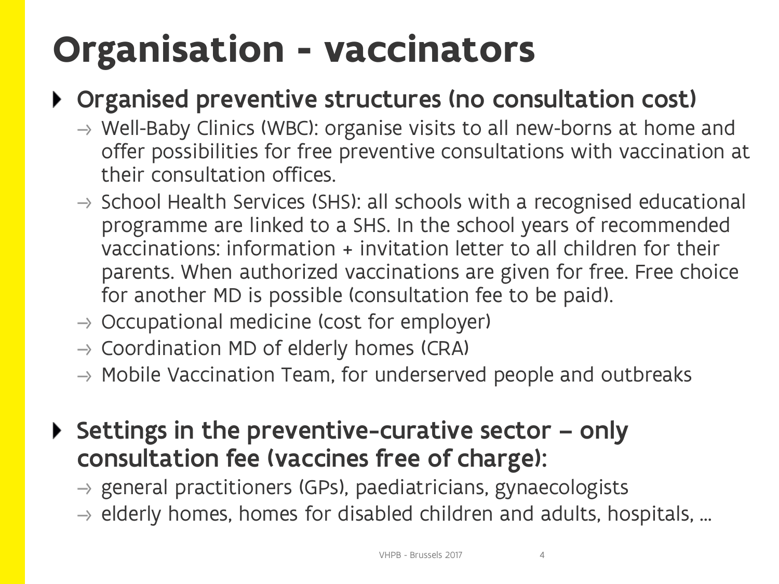## **Organisation - vaccinators**

### ▶ Organised preventive structures (no consultation cost)

- $\rightarrow$  Well-Baby Clinics (WBC): organise visits to all new-borns at home and offer possibilities for free preventive consultations with vaccination at their consultation offices.
- $\rightarrow$  School Health Services (SHS): all schools with a recognised educational programme are linked to a SHS. In the school years of recommended vaccinations: information + invitation letter to all children for their parents. When authorized vaccinations are given for free. Free choice for another MD is possible (consultation fee to be paid).
- $\rightarrow$  Occupational medicine (cost for employer)
- $\rightarrow$  Coordination MD of elderly homes (CRA)
- $\rightarrow$  Mobile Vaccination Team, for underserved people and outbreaks
- $\triangleright$  Settings in the preventive-curative sector only consultation fee (vaccines free of charge):
	- $\rightarrow$  general practitioners (GPs), paediatricians, gynaecologists
	- $\rightarrow$  elderly homes, homes for disabled children and adults, hospitals, ...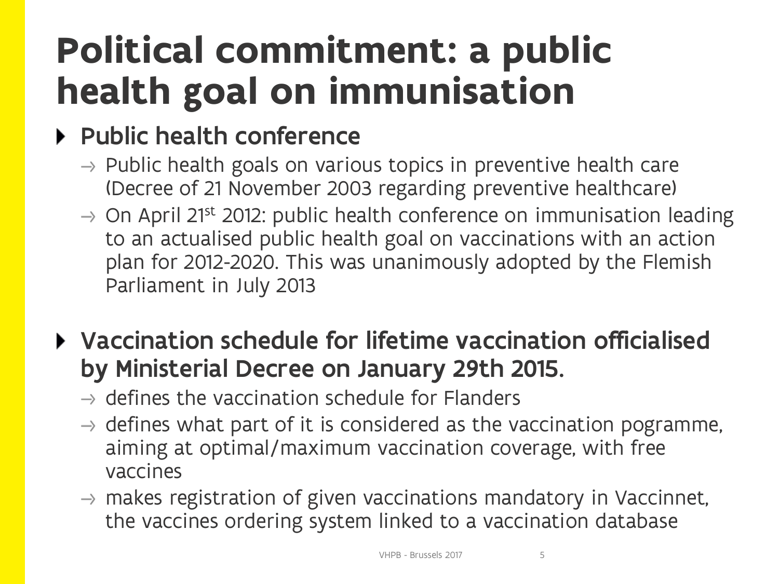### **Political commitment: a public health goal on immunisation**

### ▶ Public health conference

- $\rightarrow$  Public health goals on various topics in preventive health care (Decree of 21 November 2003 regarding preventive healthcare)
- $\rightarrow$  On April 21<sup>st</sup> 2012: public health conference on immunisation leading to an actualised public health goal on vaccinations with an action plan for 2012-2020. This was unanimously adopted by the Flemish Parliament in July 2013
- Vaccination schedule for lifetime vaccination officialised by Ministerial Decree on January 29th 2015.
	- $\rightarrow$  defines the vaccination schedule for Flanders
	- $\rightarrow$  defines what part of it is considered as the vaccination pogramme, aiming at optimal/maximum vaccination coverage, with free vaccines
	- $\rightarrow$  makes registration of given vaccinations mandatory in Vaccinnet, the vaccines ordering system linked to a vaccination database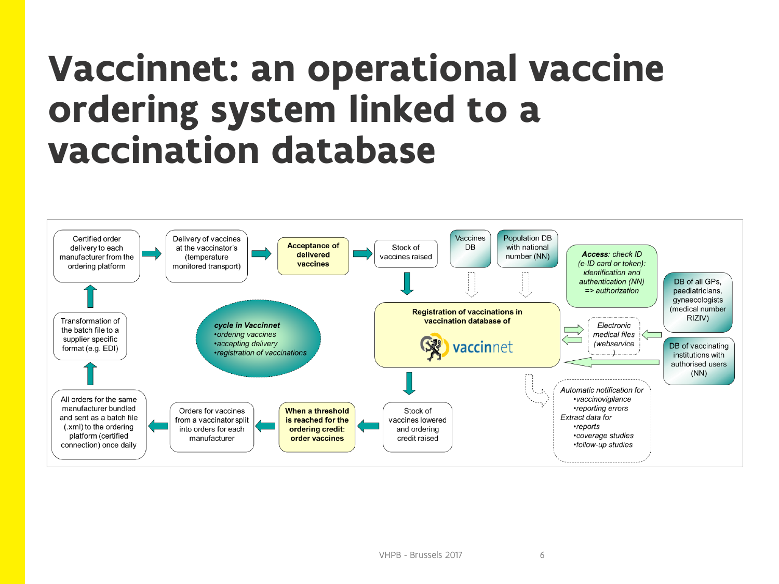### **Vaccinnet: an operational vaccine ordering system linked to a vaccination database**

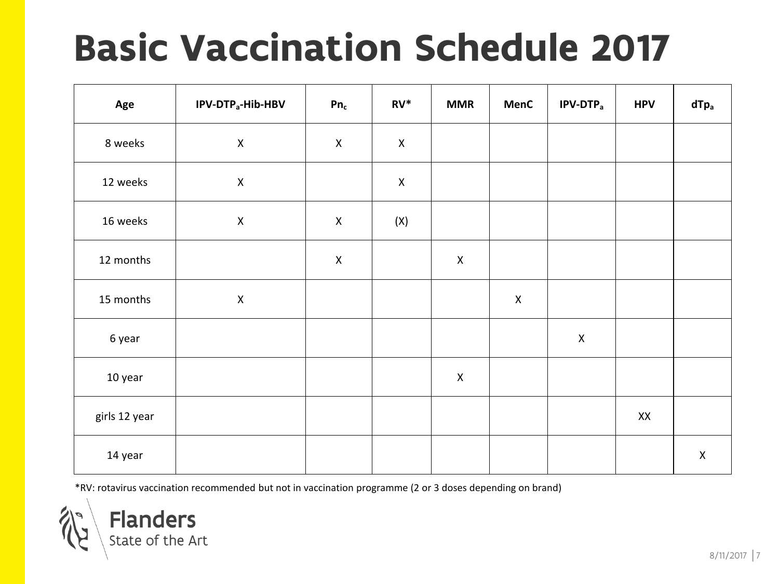## **Basic Vaccination Schedule 2017**

| Age           | IPV-DTP <sub>a</sub> -Hib-HBV | $Pn_c$             | $RV^*$      | <b>MMR</b>         | <b>MenC</b>    | IPV-DTP <sub>a</sub> | <b>HPV</b> | $dTp_a$     |
|---------------|-------------------------------|--------------------|-------------|--------------------|----------------|----------------------|------------|-------------|
| 8 weeks       | $\pmb{\mathsf{X}}$            | $\pmb{\mathsf{X}}$ | $\mathsf X$ |                    |                |                      |            |             |
| 12 weeks      | $\pmb{\mathsf{X}}$            |                    | $\mathsf X$ |                    |                |                      |            |             |
| 16 weeks      | $\pmb{\times}$                | $\pmb{\chi}$       | (X)         |                    |                |                      |            |             |
| 12 months     |                               | $\mathsf X$        |             | $\mathsf X$        |                |                      |            |             |
| 15 months     | $\pmb{\mathsf{X}}$            |                    |             |                    | $\pmb{\times}$ |                      |            |             |
| 6 year        |                               |                    |             |                    |                | $\pmb{\times}$       |            |             |
| 10 year       |                               |                    |             | $\pmb{\mathsf{X}}$ |                |                      |            |             |
| girls 12 year |                               |                    |             |                    |                |                      | XX         |             |
| 14 year       |                               |                    |             |                    |                |                      |            | $\mathsf X$ |

\*RV: rotavirus vaccination recommended but not in vaccination programme (2 or 3 doses depending on brand)

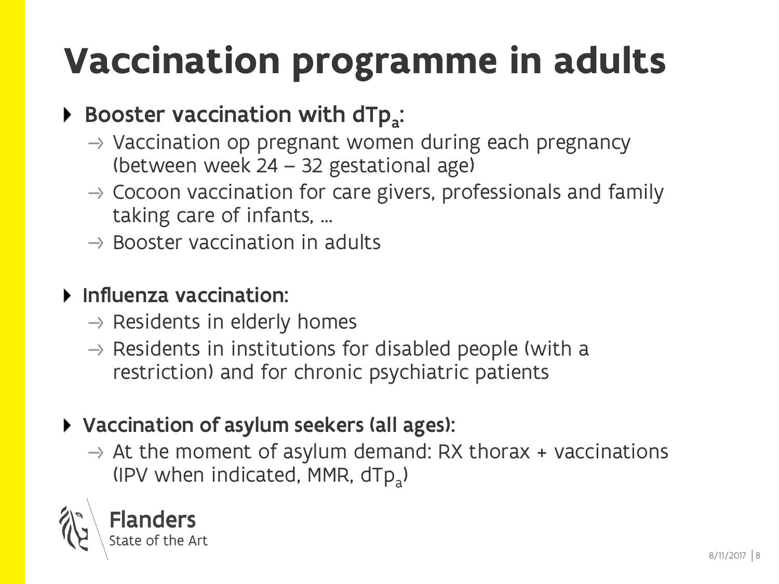## **Vaccination programme in adults**

### Booster vaccination with dTp<sub>a</sub>:

- $\rightarrow$  Vaccination op pregnant women during each pregnancy (between week 24 – 32 gestational age)
- $\rightarrow$  Cocoon vaccination for care givers, professionals and family taking care of infants, …
- $\rightarrow$  Booster vaccination in adults

#### **Influenza vaccination:**

- $\rightarrow$  Residents in elderly homes
- $\rightarrow$  Residents in institutions for disabled people (with a restriction) and for chronic psychiatric patients

#### Vaccination of asylum seekers (all ages):

 $\rightarrow$  At the moment of asylum demand: RX thorax + vaccinations (IPV when indicated, MMR, dTp<sub>a</sub>)

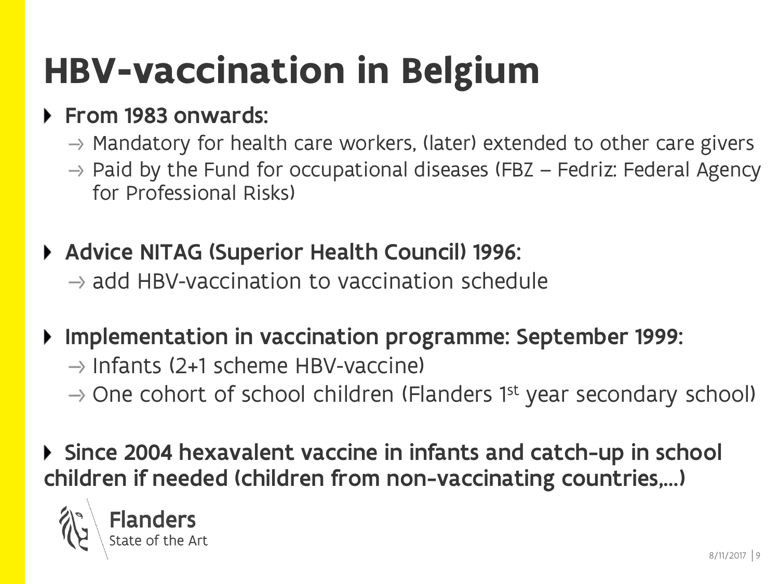### **HBV-vaccination in Belgium**

#### From 1983 onwards:

- $\rightarrow$  Mandatory for health care workers, (later) extended to other care givers
- $\rightarrow$  Paid by the Fund for occupational diseases (FBZ Fedriz: Federal Agency for Professional Risks)
- Advice NITAG (Superior Health Council) 1996:
	- $\rightarrow$  add HBV-vaccination to vaccination schedule
- Implementation in vaccination programme: September 1999:
	- $\rightarrow$  Infants (2+1 scheme HBV-vaccine)
	- $\rightarrow$  One cohort of school children (Flanders 1st year secondary school)
- Since 2004 hexavalent vaccine in infants and catch-up in school children if needed (children from non-vaccinating countries,…)

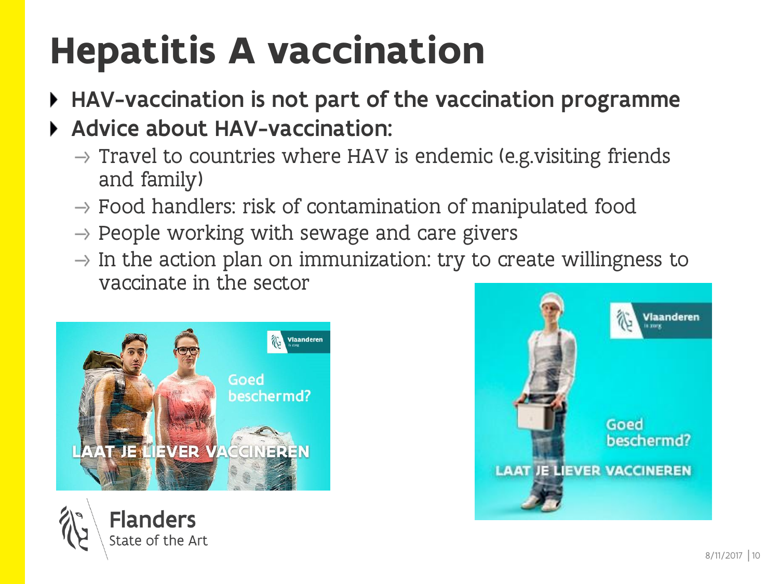## **Hepatitis A vaccination**

- HAV-vaccination is not part of the vaccination programme
- Advice about HAV-vaccination:
	- $\rightarrow$  Travel to countries where HAV is endemic (e.g. visiting friends and family)
	- $\rightarrow$  Food handlers: risk of contamination of manipulated food
	- $\rightarrow$  People working with sewage and care givers
	- $\rightarrow$  In the action plan on immunization: try to create willingness to vaccinate in the sector





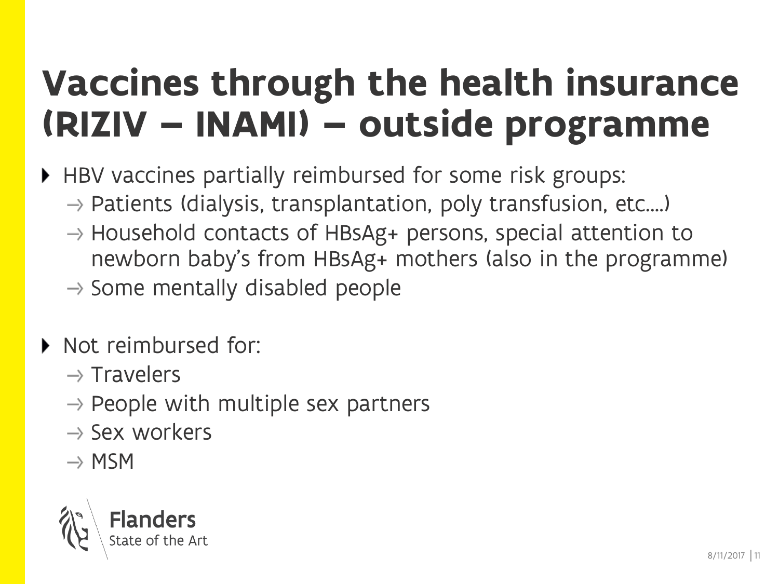### **Vaccines through the health insurance (RIZIV – INAMI) – outside programme**

- HBV vaccines partially reimbursed for some risk groups:
	- $\rightarrow$  Patients (dialysis, transplantation, poly transfusion, etc....)
	- $\rightarrow$  Household contacts of HBsAg+ persons, special attention to newborn baby's from HBsAg+ mothers (also in the programme)
	- $\rightarrow$  Some mentally disabled people
- ▶ Not reimbursed for:
	- $\rightarrow$  Travelers
	- $\rightarrow$  People with multiple sex partners
	- $\rightarrow$  Sex workers
	- $\rightarrow$  MSM

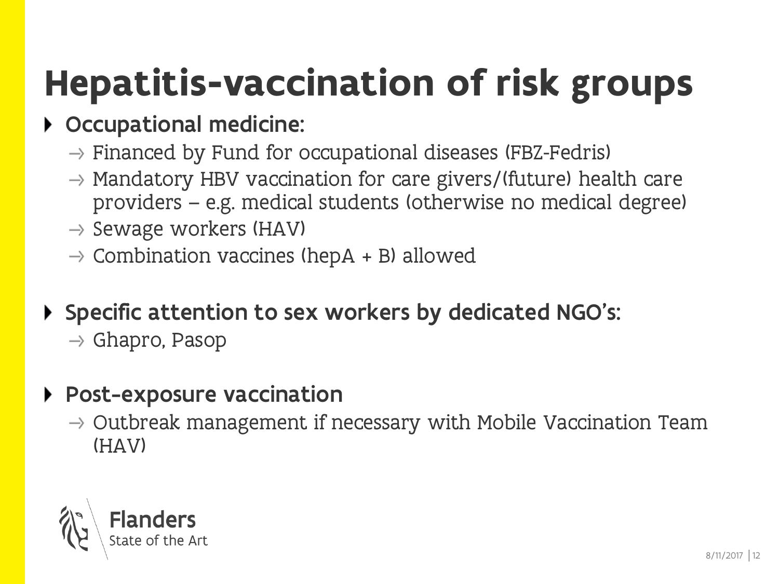## **Hepatitis-vaccination of risk groups**

- Occupational medicine:
	- $\rightarrow$  Financed by Fund for occupational diseases (FBZ-Fedris)
	- $\rightarrow$  Mandatory HBV vaccination for care givers/(future) health care providers – e.g. medical students (otherwise no medical degree)
	- $\rightarrow$  Sewage workers (HAV)
	- $\rightarrow$  Combination vaccines (hepA + B) allowed
- ▶ Specific attention to sex workers by dedicated NGO's:
	- $\rightarrow$  Ghapro, Pasop

#### ▶ Post-exposure vaccination

 $\rightarrow$  Outbreak management if necessary with Mobile Vaccination Team (HAV)

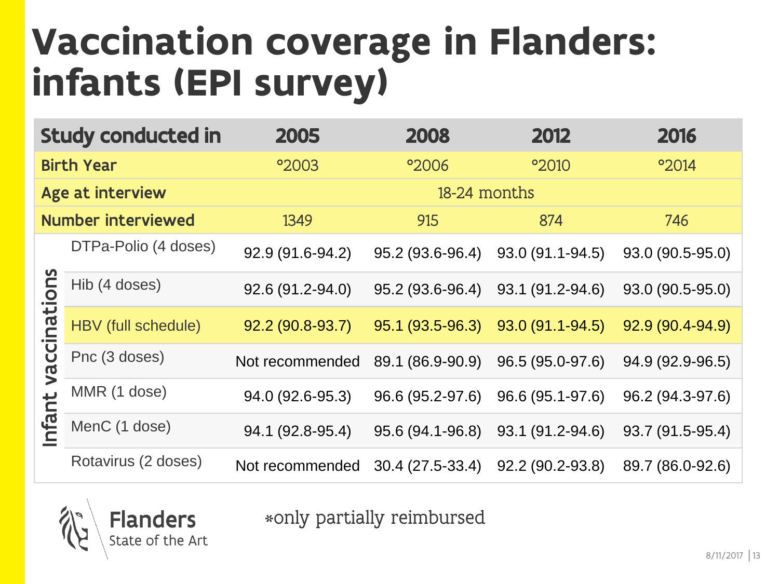### **Vaccination coverage in Flanders: infants (EPI survey)**

| <b>Study conducted in</b>    |                      | 2005             | 2008              | 2012                | 2016             |  |  |
|------------------------------|----------------------|------------------|-------------------|---------------------|------------------|--|--|
| <b>Birth Year</b>            |                      | °2003            | °2006             | °2010               | °2014            |  |  |
| Age at interview             |                      | 18-24 months     |                   |                     |                  |  |  |
| <b>Number interviewed</b>    |                      | 1349             | 915               | 874                 | 746              |  |  |
| tions<br>vaccina<br>nía<br>C | DTPa-Polio (4 doses) | 92.9 (91.6-94.2) | 95.2 (93.6-96.4)  | 93.0 (91.1-94.5)    | 93.0 (90.5-95.0) |  |  |
|                              | Hib (4 doses)        | 92.6 (91.2-94.0) | 95.2 (93.6-96.4)  | 93.1 (91.2-94.6)    | 93.0 (90.5-95.0) |  |  |
|                              | HBV (full schedule)  | 92.2 (90.8-93.7) | 95.1 (93.5-96.3)  | $93.0(91.1 - 94.5)$ | 92.9 (90.4-94.9) |  |  |
|                              | Pnc (3 doses)        | Not recommended  | 89.1 (86.9-90.9)  | 96.5 (95.0-97.6)    | 94.9 (92.9-96.5) |  |  |
|                              | MMR (1 dose)         | 94.0 (92.6-95.3) | 96.6 (95.2-97.6)  | 96.6 (95.1-97.6)    | 96.2 (94.3-97.6) |  |  |
|                              | MenC (1 dose)        | 94.1 (92.8-95.4) | 95.6 (94.1-96.8)  | 93.1 (91.2-94.6)    | 93.7 (91.5-95.4) |  |  |
|                              | Rotavirus (2 doses)  | Not recommended  | $30.4(27.5-33.4)$ | 92.2 (90.2-93.8)    | 89.7 (86.0-92.6) |  |  |



\*only partially reimbursed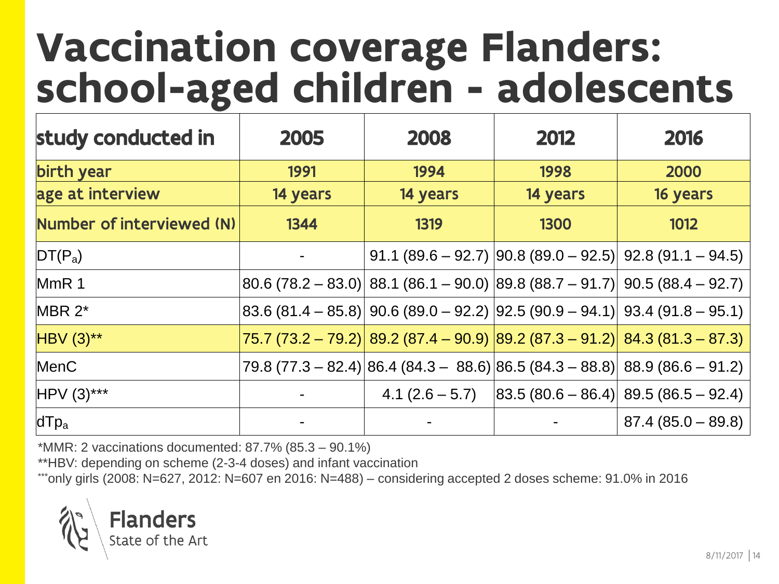## **Vaccination coverage Flanders: school-aged children - adolescents**

| study conducted in        | 2005     | 2008     | 2012     | 2016                                                                                                                                             |
|---------------------------|----------|----------|----------|--------------------------------------------------------------------------------------------------------------------------------------------------|
| birth year                | 1991     | 1994     | 1998     | 2000                                                                                                                                             |
| age at interview          | 14 years | 14 years | 14 years | 16 years                                                                                                                                         |
| Number of interviewed (N) | 1344     | 1319     | 1300     | 1012                                                                                                                                             |
| $DT(P_a)$                 |          |          |          | 91.1 (89.6 – 92.7)   90.8 (89.0 – 92.5)   92.8 (91.1 – 94.5)                                                                                     |
| MmR 1                     |          |          |          | $\left  80.6 \left( 78.2 - 83.0 \right) \right  88.1 \left( 86.1 - 90.0 \right) 89.8 \left( 88.7 - 91.7 \right) 90.5 \left( 88.4 - 92.7 \right)$ |
| $MBR 2*$                  |          |          |          | $83.6$ (81.4 – 85.8) 90.6 (89.0 – 92.2) 92.5 (90.9 – 94.1) 93.4 (91.8 – 95.1)                                                                    |
| $HBV(3)$ **               |          |          |          | $75.7 (73.2 - 79.2) 89.2 (87.4 - 90.9) 89.2 (87.3 - 91.2) 84.3 (81.3 - 87.3)$                                                                    |
| MenC                      |          |          |          | $79.8 (77.3 - 82.4) 86.4 (84.3 - 88.6) 86.5 (84.3 - 88.8) 88.9 (86.6 - 91.2)$                                                                    |
| $HPV (3)***$              |          |          |          | 4.1 $(2.6 - 5.7)$ $ 83.5 (80.6 - 86.4)  89.5 (86.5 - 92.4)$                                                                                      |
| $dTp_a$                   |          |          |          | $87.4(85.0-89.8)$                                                                                                                                |

\*MMR: 2 vaccinations documented: 87.7% (85.3 – 90.1%)

\*\*HBV: depending on scheme (2-3-4 doses) and infant vaccination

\*\*\*only girls (2008: N=627, 2012: N=607 en 2016: N=488) – considering accepted 2 doses scheme: 91.0% in 2016

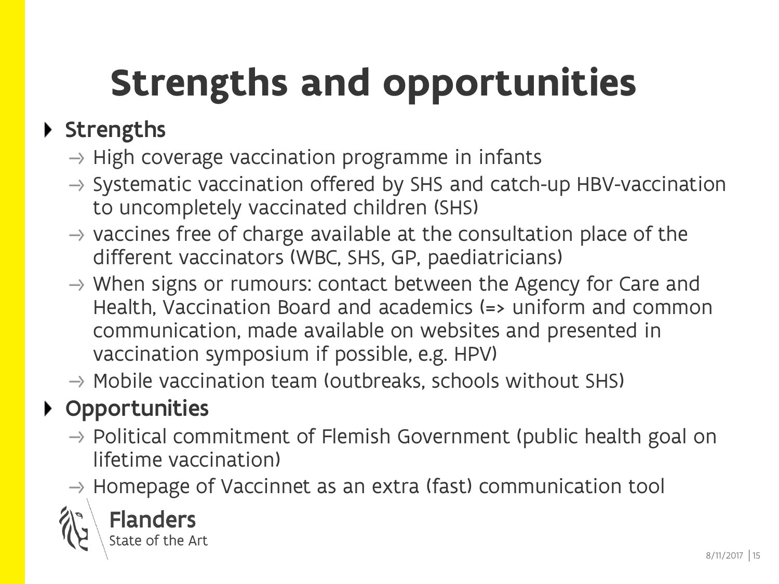## **Strengths and opportunities**

### ▶ Strengths

- $\rightarrow$  High coverage vaccination programme in infants
- $\rightarrow$  Systematic vaccination offered by SHS and catch-up HBV-vaccination to uncompletely vaccinated children (SHS)
- $\rightarrow$  vaccines free of charge available at the consultation place of the different vaccinators (WBC, SHS, GP, paediatricians)
- $\rightarrow$  When signs or rumours: contact between the Agency for Care and Health, Vaccination Board and academics (=> uniform and common communication, made available on websites and presented in vaccination symposium if possible, e.g. HPV)
- $\rightarrow$  Mobile vaccination team (outbreaks, schools without SHS)

### ▶ Opportunities

- $\rightarrow$  Political commitment of Flemish Government (public health goal on lifetime vaccination)
- $\rightarrow$  Homepage of Vaccinnet as an extra (fast) communication tool



**Flanders** tate of the Art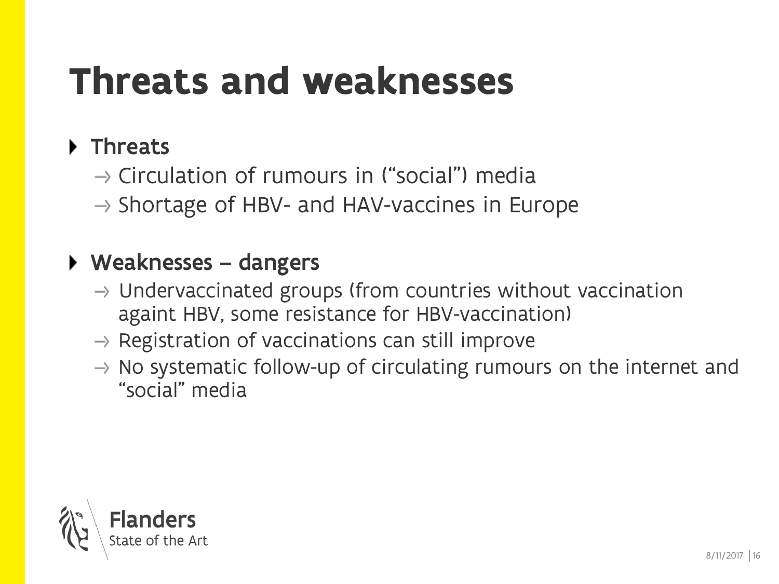### **Threats and weaknesses**

#### Threats

- $\rightarrow$  Circulation of rumours in ("social") media
- $\rightarrow$  Shortage of HBV- and HAV-vaccines in Europe

#### Weaknesses – dangers

- $\rightarrow$  Undervaccinated groups (from countries without vaccination againt HBV, some resistance for HBV-vaccination)
- $\rightarrow$  Registration of vaccinations can still improve
- $\rightarrow$  No systematic follow-up of circulating rumours on the internet and "social" media

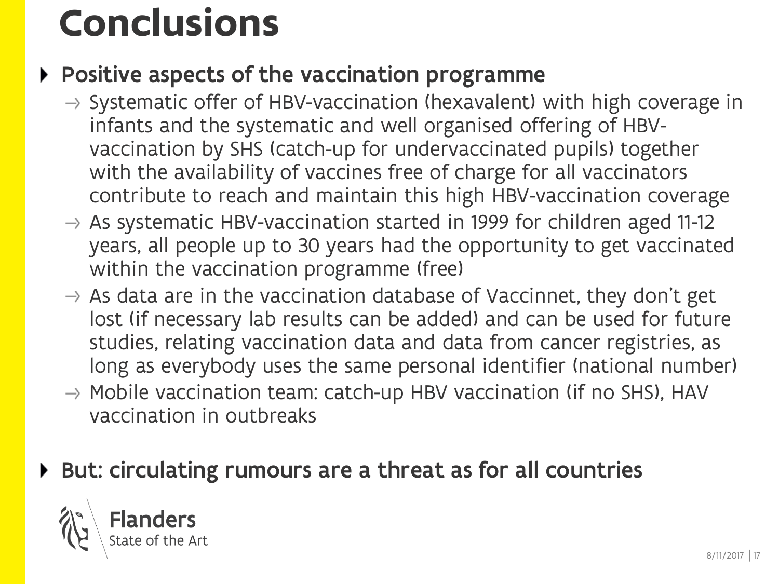### **Conclusions**

#### ▶ Positive aspects of the vaccination programme

- $\rightarrow$  Systematic offer of HBV-vaccination (hexavalent) with high coverage in infants and the systematic and well organised offering of HBVvaccination by SHS (catch-up for undervaccinated pupils) together with the availability of vaccines free of charge for all vaccinators contribute to reach and maintain this high HBV-vaccination coverage
- $\rightarrow$  As systematic HBV-vaccination started in 1999 for children aged 11-12 years, all people up to 30 years had the opportunity to get vaccinated within the vaccination programme (free)
- $\rightarrow$  As data are in the vaccination database of Vaccinnet, they don't get lost (if necessary lab results can be added) and can be used for future studies, relating vaccination data and data from cancer registries, as long as everybody uses the same personal identifier (national number)
- $\rightarrow$  Mobile vaccination team: catch-up HBV vaccination (if no SHS), HAV vaccination in outbreaks

#### ▶ But: circulating rumours are a threat as for all countries